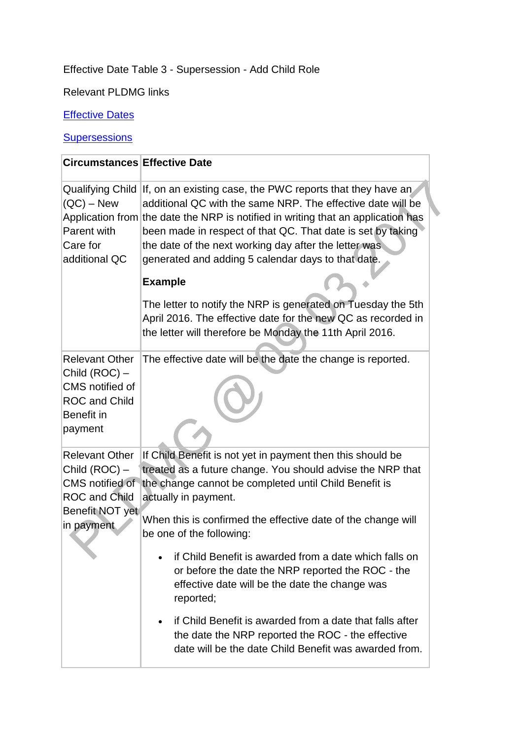## Effective Date Table 3 - Supersession - Add Child Role

Relevant PLDMG links

## **[Effective Dates](http://np-cmg-sharepoint.link2.gpn.gov.uk/sites/policy-law-and-decision-making-guidance/Pages/Effective%20Dates/Effective-Dates.aspx)**

## **Supersessions**

| <b>Circumstances Effective Date</b>                                                                                |                                                                                                                                                                                                                                                                                                                                                                                                               |
|--------------------------------------------------------------------------------------------------------------------|---------------------------------------------------------------------------------------------------------------------------------------------------------------------------------------------------------------------------------------------------------------------------------------------------------------------------------------------------------------------------------------------------------------|
| $(QC) - New$<br>Parent with<br>Care for<br>additional QC                                                           | Qualifying Child If, on an existing case, the PWC reports that they have an<br>additional QC with the same NRP. The effective date will be<br>Application from the date the NRP is notified in writing that an application has<br>been made in respect of that QC. That date is set by taking<br>the date of the next working day after the letter was.<br>generated and adding 5 calendar days to that date. |
|                                                                                                                    | <b>Example</b>                                                                                                                                                                                                                                                                                                                                                                                                |
|                                                                                                                    | The letter to notify the NRP is generated on Tuesday the 5th<br>April 2016. The effective date for the new QC as recorded in<br>the letter will therefore be Monday the 11th April 2016.                                                                                                                                                                                                                      |
| <b>Relevant Other</b><br>Child (ROC) -<br>CMS notified of<br><b>ROC and Child</b><br>Benefit in<br>payment         | The effective date will be the date the change is reported.                                                                                                                                                                                                                                                                                                                                                   |
| <b>Relevant Other</b><br>Child (ROC) -<br>CMS notified of<br><b>ROC and Child</b><br>Benefit NOT yet<br>in payment | If Child Benefit is not yet in payment then this should be<br>treated as a future change. You should advise the NRP that<br>the change cannot be completed until Child Benefit is<br>actually in payment.<br>When this is confirmed the effective date of the change will<br>be one of the following:                                                                                                         |
|                                                                                                                    | if Child Benefit is awarded from a date which falls on<br>or before the date the NRP reported the ROC - the<br>effective date will be the date the change was<br>reported;                                                                                                                                                                                                                                    |
|                                                                                                                    | if Child Benefit is awarded from a date that falls after<br>the date the NRP reported the ROC - the effective<br>date will be the date Child Benefit was awarded from.                                                                                                                                                                                                                                        |